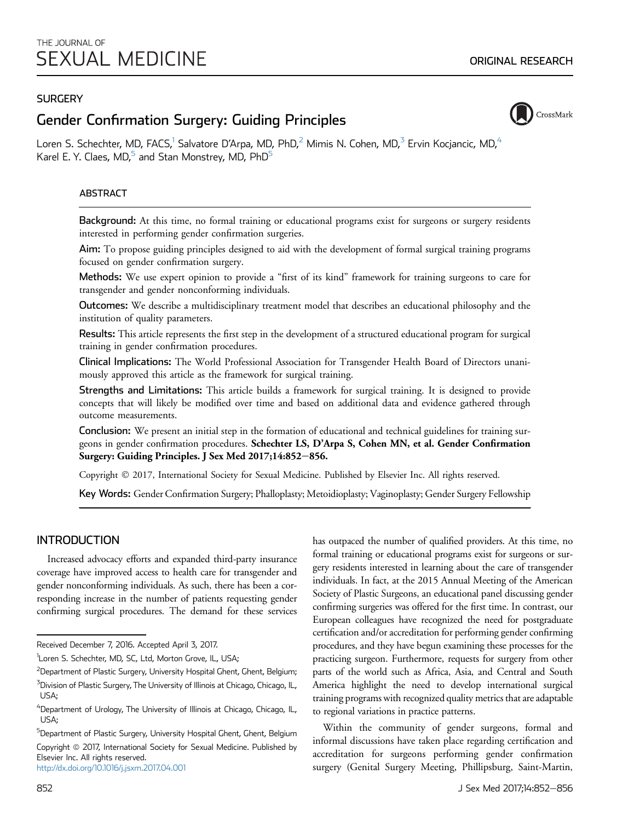# **SURGERY**

# Gender Confirmation Surgery: Guiding Principles



Loren S. Schechter, MD, FACS,<sup>1</sup> Salvatore D'Arpa, MD, PhD,<sup>2</sup> Mimis N. Cohen, MD,<sup>3</sup> Ervin Kocjancic, MD,<sup>4</sup> Karel E. Y. Claes,  $MD<sub>5</sub>$  and Stan Monstrey, MD,  $PhD<sub>5</sub>$ 

#### ABSTRACT

Background: At this time, no formal training or educational programs exist for surgeons or surgery residents interested in performing gender confirmation surgeries.

Aim: To propose guiding principles designed to aid with the development of formal surgical training programs focused on gender confirmation surgery.

Methods: We use expert opinion to provide a "first of its kind" framework for training surgeons to care for transgender and gender nonconforming individuals.

Outcomes: We describe a multidisciplinary treatment model that describes an educational philosophy and the institution of quality parameters.

Results: This article represents the first step in the development of a structured educational program for surgical training in gender confirmation procedures.

Clinical Implications: The World Professional Association for Transgender Health Board of Directors unanimously approved this article as the framework for surgical training.

Strengths and Limitations: This article builds a framework for surgical training. It is designed to provide concepts that will likely be modified over time and based on additional data and evidence gathered through outcome measurements.

Conclusion: We present an initial step in the formation of educational and technical guidelines for training surgeons in gender confirmation procedures. Schechter LS, D'Arpa S, Cohen MN, et al. Gender Confirmation Surgery: Guiding Principles. J Sex Med 2017;14:852-856.

Copyright 2017, International Society for Sexual Medicine. Published by Elsevier Inc. All rights reserved.

Key Words: Gender Confirmation Surgery; Phalloplasty; Metoidioplasty; Vaginoplasty; Gender Surgery Fellowship

## INTRODUCTION

Increased advocacy efforts and expanded third-party insurance coverage have improved access to health care for transgender and gender nonconforming individuals. As such, there has been a corresponding increase in the number of patients requesting gender confirming surgical procedures. The demand for these services

formal training or educational programs exist for surgeons or surgery residents interested in learning about the care of transgender individuals. In fact, at the 2015 Annual Meeting of the American Society of Plastic Surgeons, an educational panel discussing gender confirming surgeries was offered for the first time. In contrast, our European colleagues have recognized the need for postgraduate certification and/or accreditation for performing gender confirming procedures, and they have begun examining these processes for the practicing surgeon. Furthermore, requests for surgery from other parts of the world such as Africa, Asia, and Central and South America highlight the need to develop international surgical training programs with recognized quality metrics that are adaptable to regional variations in practice patterns.

has outpaced the number of qualified providers. At this time, no

Within the community of gender surgeons, formal and informal discussions have taken place regarding certification and accreditation for surgeons performing gender confirmation surgery (Genital Surgery Meeting, Phillipsburg, Saint-Martin,

Received December 7, 2016. Accepted April 3, 2017.

<sup>&</sup>lt;sup>1</sup>Loren S. Schechter, MD, SC, Ltd, Morton Grove, IL, USA;

<sup>&</sup>lt;sup>2</sup>Department of Plastic Surgery, University Hospital Ghent, Ghent, Belgium; <sup>3</sup>Division of Plastic Surgery, The University of Illinois at Chicago, Chicago, IL, USA;

 $^4$ Department of Urology, The University of Illinois at Chicago, Chicago, IL, USA;

<sup>&</sup>lt;sup>5</sup>Department of Plastic Surgery, University Hospital Ghent, Ghent, Belgium Copyright @ 2017, International Society for Sexual Medicine. Published by Elsevier Inc. All rights reserved. <http://dx.doi.org/10.1016/j.jsxm.2017.04.001>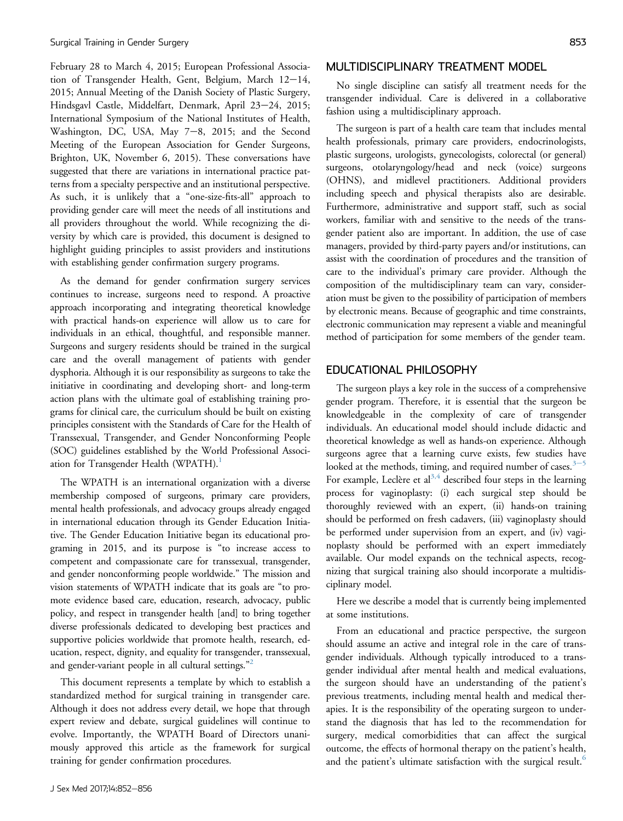February 28 to March 4, 2015; European Professional Association of Transgender Health, Gent, Belgium, March  $12-14$ , 2015; Annual Meeting of the Danish Society of Plastic Surgery, Hindsgavl Castle, Middelfart, Denmark, April 23-24, 2015; International Symposium of the National Institutes of Health, Washington, DC, USA, May 7-8, 2015; and the Second Meeting of the European Association for Gender Surgeons, Brighton, UK, November 6, 2015). These conversations have suggested that there are variations in international practice patterns from a specialty perspective and an institutional perspective. As such, it is unlikely that a "one-size-fits-all" approach to providing gender care will meet the needs of all institutions and all providers throughout the world. While recognizing the diversity by which care is provided, this document is designed to highlight guiding principles to assist providers and institutions with establishing gender confirmation surgery programs.

As the demand for gender confirmation surgery services continues to increase, surgeons need to respond. A proactive approach incorporating and integrating theoretical knowledge with practical hands-on experience will allow us to care for individuals in an ethical, thoughtful, and responsible manner. Surgeons and surgery residents should be trained in the surgical care and the overall management of patients with gender dysphoria. Although it is our responsibility as surgeons to take the initiative in coordinating and developing short- and long-term action plans with the ultimate goal of establishing training programs for clinical care, the curriculum should be built on existing principles consistent with the Standards of Care for the Health of Transsexual, Transgender, and Gender Nonconforming People (SOC) guidelines established by the World Professional Association for Transgender Health (WPATH).<sup>1</sup>

The WPATH is an international organization with a diverse membership composed of surgeons, primary care providers, mental health professionals, and advocacy groups already engaged in international education through its Gender Education Initiative. The Gender Education Initiative began its educational programing in 2015, and its purpose is "to increase access to competent and compassionate care for transsexual, transgender, and gender nonconforming people worldwide." The mission and vision statements of WPATH indicate that its goals are "to promote evidence based care, education, research, advocacy, public policy, and respect in transgender health [and] to bring together diverse professionals dedicated to developing best practices and supportive policies worldwide that promote health, research, education, respect, dignity, and equality for transgender, transsexual, and gender-variant people in all cultural settings."<sup>[2](#page-4-0)</sup>

This document represents a template by which to establish a standardized method for surgical training in transgender care. Although it does not address every detail, we hope that through expert review and debate, surgical guidelines will continue to evolve. Importantly, the WPATH Board of Directors unanimously approved this article as the framework for surgical training for gender confirmation procedures.

#### MULTIDISCIPLINARY TREATMENT MODEL

No single discipline can satisfy all treatment needs for the transgender individual. Care is delivered in a collaborative fashion using a multidisciplinary approach.

The surgeon is part of a health care team that includes mental health professionals, primary care providers, endocrinologists, plastic surgeons, urologists, gynecologists, colorectal (or general) surgeons, otolaryngology/head and neck (voice) surgeons (OHNS), and midlevel practitioners. Additional providers including speech and physical therapists also are desirable. Furthermore, administrative and support staff, such as social workers, familiar with and sensitive to the needs of the transgender patient also are important. In addition, the use of case managers, provided by third-party payers and/or institutions, can assist with the coordination of procedures and the transition of care to the individual's primary care provider. Although the composition of the multidisciplinary team can vary, consideration must be given to the possibility of participation of members by electronic means. Because of geographic and time constraints, electronic communication may represent a viable and meaningful method of participation for some members of the gender team.

### EDUCATIONAL PHILOSOPHY

The surgeon plays a key role in the success of a comprehensive gender program. Therefore, it is essential that the surgeon be knowledgeable in the complexity of care of transgender individuals. An educational model should include didactic and theoretical knowledge as well as hands-on experience. Although surgeons agree that a learning curve exists, few studies have looked at the methods, timing, and required number of cases. $3-5$  $3-5$  $3-5$ For example, Leclère et al<sup>3,4</sup> described four steps in the learning process for vaginoplasty: (i) each surgical step should be thoroughly reviewed with an expert, (ii) hands-on training should be performed on fresh cadavers, (iii) vaginoplasty should be performed under supervision from an expert, and (iv) vaginoplasty should be performed with an expert immediately available. Our model expands on the technical aspects, recognizing that surgical training also should incorporate a multidisciplinary model.

Here we describe a model that is currently being implemented at some institutions.

From an educational and practice perspective, the surgeon should assume an active and integral role in the care of transgender individuals. Although typically introduced to a transgender individual after mental health and medical evaluations, the surgeon should have an understanding of the patient's previous treatments, including mental health and medical therapies. It is the responsibility of the operating surgeon to understand the diagnosis that has led to the recommendation for surgery, medical comorbidities that can affect the surgical outcome, the effects of hormonal therapy on the patient's health, and the patient's ultimate satisfaction with the surgical result.<sup>[6](#page-4-0)</sup>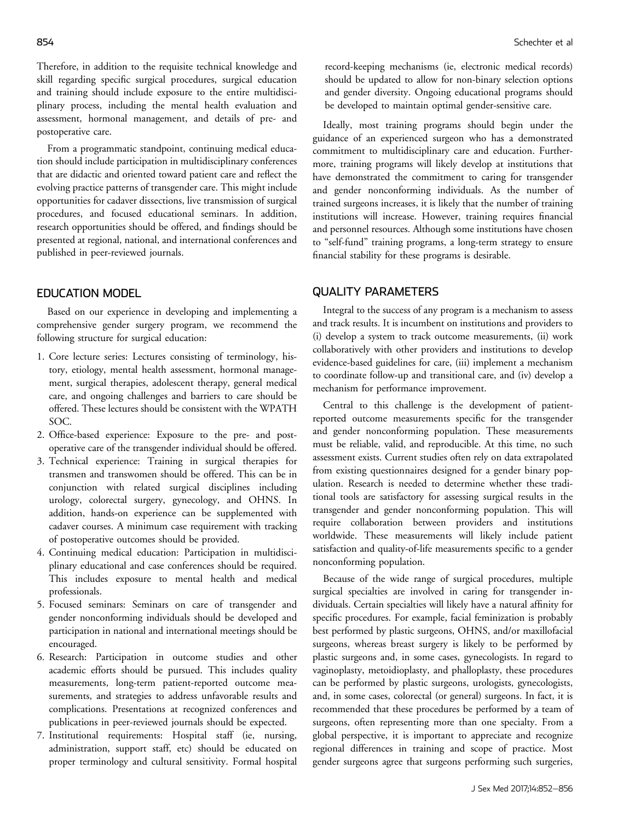Therefore, in addition to the requisite technical knowledge and skill regarding specific surgical procedures, surgical education and training should include exposure to the entire multidisciplinary process, including the mental health evaluation and assessment, hormonal management, and details of pre- and postoperative care.

From a programmatic standpoint, continuing medical education should include participation in multidisciplinary conferences that are didactic and oriented toward patient care and reflect the evolving practice patterns of transgender care. This might include opportunities for cadaver dissections, live transmission of surgical procedures, and focused educational seminars. In addition, research opportunities should be offered, and findings should be presented at regional, national, and international conferences and published in peer-reviewed journals.

## EDUCATION MODEL

Based on our experience in developing and implementing a comprehensive gender surgery program, we recommend the following structure for surgical education:

- 1. Core lecture series: Lectures consisting of terminology, history, etiology, mental health assessment, hormonal management, surgical therapies, adolescent therapy, general medical care, and ongoing challenges and barriers to care should be offered. These lectures should be consistent with the WPATH SOC.
- 2. Office-based experience: Exposure to the pre- and postoperative care of the transgender individual should be offered.
- 3. Technical experience: Training in surgical therapies for transmen and transwomen should be offered. This can be in conjunction with related surgical disciplines including urology, colorectal surgery, gynecology, and OHNS. In addition, hands-on experience can be supplemented with cadaver courses. A minimum case requirement with tracking of postoperative outcomes should be provided.
- 4. Continuing medical education: Participation in multidisciplinary educational and case conferences should be required. This includes exposure to mental health and medical professionals.
- 5. Focused seminars: Seminars on care of transgender and gender nonconforming individuals should be developed and participation in national and international meetings should be encouraged.
- 6. Research: Participation in outcome studies and other academic efforts should be pursued. This includes quality measurements, long-term patient-reported outcome measurements, and strategies to address unfavorable results and complications. Presentations at recognized conferences and publications in peer-reviewed journals should be expected.
- 7. Institutional requirements: Hospital staff (ie, nursing, administration, support staff, etc) should be educated on proper terminology and cultural sensitivity. Formal hospital

record-keeping mechanisms (ie, electronic medical records) should be updated to allow for non-binary selection options and gender diversity. Ongoing educational programs should be developed to maintain optimal gender-sensitive care.

Ideally, most training programs should begin under the guidance of an experienced surgeon who has a demonstrated commitment to multidisciplinary care and education. Furthermore, training programs will likely develop at institutions that have demonstrated the commitment to caring for transgender and gender nonconforming individuals. As the number of trained surgeons increases, it is likely that the number of training institutions will increase. However, training requires financial and personnel resources. Although some institutions have chosen to "self-fund" training programs, a long-term strategy to ensure financial stability for these programs is desirable.

## QUALITY PARAMETERS

Integral to the success of any program is a mechanism to assess and track results. It is incumbent on institutions and providers to (i) develop a system to track outcome measurements, (ii) work collaboratively with other providers and institutions to develop evidence-based guidelines for care, (iii) implement a mechanism to coordinate follow-up and transitional care, and (iv) develop a mechanism for performance improvement.

Central to this challenge is the development of patientreported outcome measurements specific for the transgender and gender nonconforming population. These measurements must be reliable, valid, and reproducible. At this time, no such assessment exists. Current studies often rely on data extrapolated from existing questionnaires designed for a gender binary population. Research is needed to determine whether these traditional tools are satisfactory for assessing surgical results in the transgender and gender nonconforming population. This will require collaboration between providers and institutions worldwide. These measurements will likely include patient satisfaction and quality-of-life measurements specific to a gender nonconforming population.

Because of the wide range of surgical procedures, multiple surgical specialties are involved in caring for transgender individuals. Certain specialties will likely have a natural affinity for specific procedures. For example, facial feminization is probably best performed by plastic surgeons, OHNS, and/or maxillofacial surgeons, whereas breast surgery is likely to be performed by plastic surgeons and, in some cases, gynecologists. In regard to vaginoplasty, metoidioplasty, and phalloplasty, these procedures can be performed by plastic surgeons, urologists, gynecologists, and, in some cases, colorectal (or general) surgeons. In fact, it is recommended that these procedures be performed by a team of surgeons, often representing more than one specialty. From a global perspective, it is important to appreciate and recognize regional differences in training and scope of practice. Most gender surgeons agree that surgeons performing such surgeries,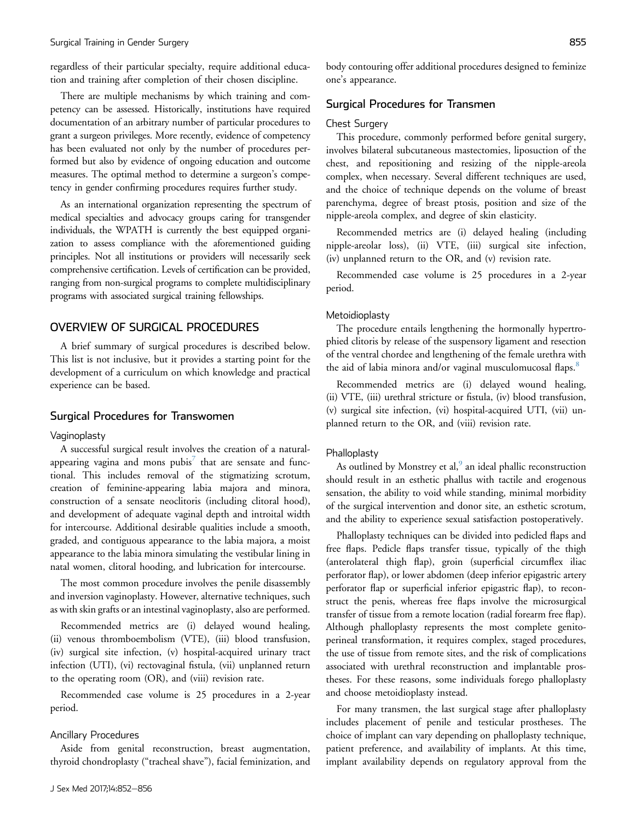regardless of their particular specialty, require additional education and training after completion of their chosen discipline.

There are multiple mechanisms by which training and competency can be assessed. Historically, institutions have required documentation of an arbitrary number of particular procedures to grant a surgeon privileges. More recently, evidence of competency has been evaluated not only by the number of procedures performed but also by evidence of ongoing education and outcome measures. The optimal method to determine a surgeon's competency in gender confirming procedures requires further study.

As an international organization representing the spectrum of medical specialties and advocacy groups caring for transgender individuals, the WPATH is currently the best equipped organization to assess compliance with the aforementioned guiding principles. Not all institutions or providers will necessarily seek comprehensive certification. Levels of certification can be provided, ranging from non-surgical programs to complete multidisciplinary programs with associated surgical training fellowships.

## OVERVIEW OF SURGICAL PROCEDURES

A brief summary of surgical procedures is described below. This list is not inclusive, but it provides a starting point for the development of a curriculum on which knowledge and practical experience can be based.

## Surgical Procedures for Transwomen

#### Vaginoplasty

A successful surgical result involves the creation of a naturalappearing vagina and mons pubis $\epsilon$  that are sensate and functional. This includes removal of the stigmatizing scrotum, creation of feminine-appearing labia majora and minora, construction of a sensate neoclitoris (including clitoral hood), and development of adequate vaginal depth and introital width for intercourse. Additional desirable qualities include a smooth, graded, and contiguous appearance to the labia majora, a moist appearance to the labia minora simulating the vestibular lining in natal women, clitoral hooding, and lubrication for intercourse.

The most common procedure involves the penile disassembly and inversion vaginoplasty. However, alternative techniques, such as with skin grafts or an intestinal vaginoplasty, also are performed.

Recommended metrics are (i) delayed wound healing, (ii) venous thromboembolism (VTE), (iii) blood transfusion, (iv) surgical site infection, (v) hospital-acquired urinary tract infection (UTI), (vi) rectovaginal fistula, (vii) unplanned return to the operating room (OR), and (viii) revision rate.

Recommended case volume is 25 procedures in a 2-year period.

#### Ancillary Procedures

Aside from genital reconstruction, breast augmentation, thyroid chondroplasty ("tracheal shave"), facial feminization, and body contouring offer additional procedures designed to feminize one's appearance.

#### Surgical Procedures for Transmen

#### Chest Surgery

This procedure, commonly performed before genital surgery, involves bilateral subcutaneous mastectomies, liposuction of the chest, and repositioning and resizing of the nipple-areola complex, when necessary. Several different techniques are used, and the choice of technique depends on the volume of breast parenchyma, degree of breast ptosis, position and size of the nipple-areola complex, and degree of skin elasticity.

Recommended metrics are (i) delayed healing (including nipple-areolar loss), (ii) VTE, (iii) surgical site infection, (iv) unplanned return to the OR, and (v) revision rate.

Recommended case volume is 25 procedures in a 2-year period.

#### Metoidioplasty

The procedure entails lengthening the hormonally hypertrophied clitoris by release of the suspensory ligament and resection of the ventral chordee and lengthening of the female urethra with the aid of labia minora and/or vaginal musculomucosal flaps.<sup>[8](#page-4-0)</sup>

Recommended metrics are (i) delayed wound healing, (ii) VTE, (iii) urethral stricture or fistula, (iv) blood transfusion, (v) surgical site infection, (vi) hospital-acquired UTI, (vii) unplanned return to the OR, and (viii) revision rate.

#### Phalloplasty

As outlined by Monstrey et al, $<sup>9</sup>$  $<sup>9</sup>$  $<sup>9</sup>$  an ideal phallic reconstruction</sup> should result in an esthetic phallus with tactile and erogenous sensation, the ability to void while standing, minimal morbidity of the surgical intervention and donor site, an esthetic scrotum, and the ability to experience sexual satisfaction postoperatively.

Phalloplasty techniques can be divided into pedicled flaps and free flaps. Pedicle flaps transfer tissue, typically of the thigh (anterolateral thigh flap), groin (superficial circumflex iliac perforator flap), or lower abdomen (deep inferior epigastric artery perforator flap or superficial inferior epigastric flap), to reconstruct the penis, whereas free flaps involve the microsurgical transfer of tissue from a remote location (radial forearm free flap). Although phalloplasty represents the most complete genitoperineal transformation, it requires complex, staged procedures, the use of tissue from remote sites, and the risk of complications associated with urethral reconstruction and implantable prostheses. For these reasons, some individuals forego phalloplasty and choose metoidioplasty instead.

For many transmen, the last surgical stage after phalloplasty includes placement of penile and testicular prostheses. The choice of implant can vary depending on phalloplasty technique, patient preference, and availability of implants. At this time, implant availability depends on regulatory approval from the